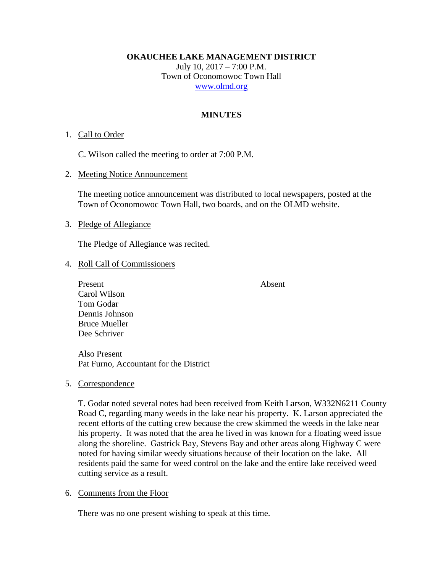**OKAUCHEE LAKE MANAGEMENT DISTRICT**

July 10, 2017 – 7:00 P.M. Town of Oconomowoc Town Hall [www.olmd.org](http://www.olmd.org/)

### **MINUTES**

#### 1. Call to Order

C. Wilson called the meeting to order at 7:00 P.M.

2. Meeting Notice Announcement

The meeting notice announcement was distributed to local newspapers, posted at the Town of Oconomowoc Town Hall, two boards, and on the OLMD website.

#### 3. Pledge of Allegiance

The Pledge of Allegiance was recited.

- 4. Roll Call of Commissioners
	- Present Absent Carol Wilson Tom Godar Dennis Johnson Bruce Mueller Dee Schriver

Also Present Pat Furno, Accountant for the District

5. Correspondence

T. Godar noted several notes had been received from Keith Larson, W332N6211 County Road C, regarding many weeds in the lake near his property. K. Larson appreciated the recent efforts of the cutting crew because the crew skimmed the weeds in the lake near his property. It was noted that the area he lived in was known for a floating weed issue along the shoreline. Gastrick Bay, Stevens Bay and other areas along Highway C were noted for having similar weedy situations because of their location on the lake. All residents paid the same for weed control on the lake and the entire lake received weed cutting service as a result.

### 6. Comments from the Floor

There was no one present wishing to speak at this time.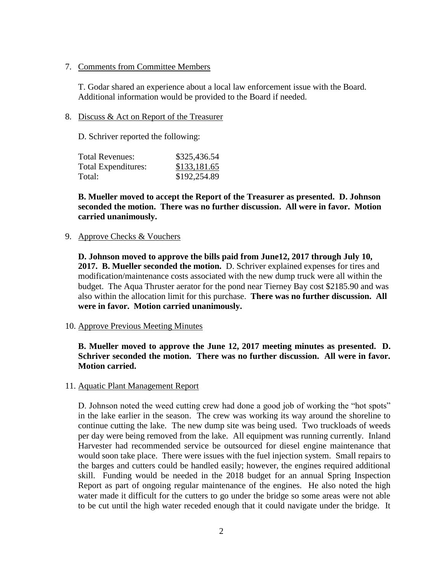#### 7. Comments from Committee Members

T. Godar shared an experience about a local law enforcement issue with the Board. Additional information would be provided to the Board if needed.

#### 8. Discuss & Act on Report of the Treasurer

D. Schriver reported the following:

| <b>Total Revenues:</b> | \$325,436.54 |
|------------------------|--------------|
| Total Expenditures:    | \$133,181.65 |
| Total:                 | \$192,254.89 |

**B. Mueller moved to accept the Report of the Treasurer as presented. D. Johnson seconded the motion. There was no further discussion. All were in favor. Motion carried unanimously.**

#### 9. Approve Checks & Vouchers

**D. Johnson moved to approve the bills paid from June12, 2017 through July 10, 2017. B. Mueller seconded the motion.** D. Schriver explained expenses for tires and modification/maintenance costs associated with the new dump truck were all within the budget. The Aqua Thruster aerator for the pond near Tierney Bay cost \$2185.90 and was also within the allocation limit for this purchase. **There was no further discussion. All were in favor. Motion carried unanimously.**

### 10. Approve Previous Meeting Minutes

## **B. Mueller moved to approve the June 12, 2017 meeting minutes as presented. D. Schriver seconded the motion. There was no further discussion. All were in favor. Motion carried.**

### 11. Aquatic Plant Management Report

D. Johnson noted the weed cutting crew had done a good job of working the "hot spots" in the lake earlier in the season. The crew was working its way around the shoreline to continue cutting the lake. The new dump site was being used. Two truckloads of weeds per day were being removed from the lake. All equipment was running currently. Inland Harvester had recommended service be outsourced for diesel engine maintenance that would soon take place. There were issues with the fuel injection system. Small repairs to the barges and cutters could be handled easily; however, the engines required additional skill. Funding would be needed in the 2018 budget for an annual Spring Inspection Report as part of ongoing regular maintenance of the engines. He also noted the high water made it difficult for the cutters to go under the bridge so some areas were not able to be cut until the high water receded enough that it could navigate under the bridge. It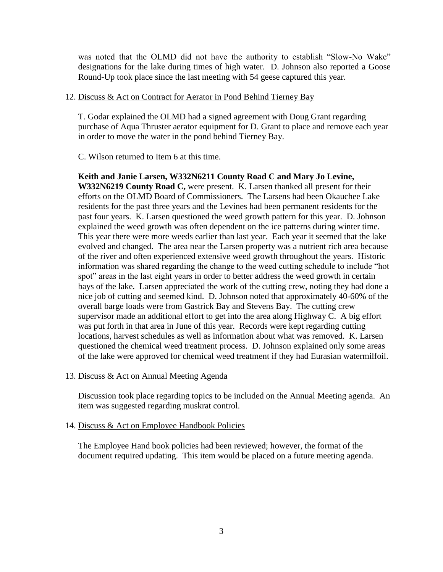was noted that the OLMD did not have the authority to establish "Slow-No Wake" designations for the lake during times of high water. D. Johnson also reported a Goose Round-Up took place since the last meeting with 54 geese captured this year.

#### 12. Discuss & Act on Contract for Aerator in Pond Behind Tierney Bay

T. Godar explained the OLMD had a signed agreement with Doug Grant regarding purchase of Aqua Thruster aerator equipment for D. Grant to place and remove each year in order to move the water in the pond behind Tierney Bay.

C. Wilson returned to Item 6 at this time.

#### **Keith and Janie Larsen, W332N6211 County Road C and Mary Jo Levine,**

**W332N6219 County Road C,** were present. K. Larsen thanked all present for their efforts on the OLMD Board of Commissioners. The Larsens had been Okauchee Lake residents for the past three years and the Levines had been permanent residents for the past four years. K. Larsen questioned the weed growth pattern for this year. D. Johnson explained the weed growth was often dependent on the ice patterns during winter time. This year there were more weeds earlier than last year. Each year it seemed that the lake evolved and changed. The area near the Larsen property was a nutrient rich area because of the river and often experienced extensive weed growth throughout the years. Historic information was shared regarding the change to the weed cutting schedule to include "hot spot" areas in the last eight years in order to better address the weed growth in certain bays of the lake. Larsen appreciated the work of the cutting crew, noting they had done a nice job of cutting and seemed kind. D. Johnson noted that approximately 40-60% of the overall barge loads were from Gastrick Bay and Stevens Bay. The cutting crew supervisor made an additional effort to get into the area along Highway C. A big effort was put forth in that area in June of this year. Records were kept regarding cutting locations, harvest schedules as well as information about what was removed. K. Larsen questioned the chemical weed treatment process. D. Johnson explained only some areas of the lake were approved for chemical weed treatment if they had Eurasian watermilfoil.

#### 13. Discuss & Act on Annual Meeting Agenda

Discussion took place regarding topics to be included on the Annual Meeting agenda. An item was suggested regarding muskrat control.

#### 14. Discuss & Act on Employee Handbook Policies

The Employee Hand book policies had been reviewed; however, the format of the document required updating. This item would be placed on a future meeting agenda.